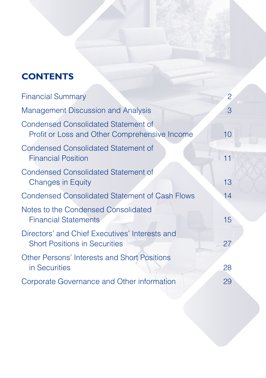# **CONTENTS**

| <b>Financial Summary</b>                                                                    | $\overline{2}$  |
|---------------------------------------------------------------------------------------------|-----------------|
| <b>Management Discussion and Analysis</b>                                                   | 3               |
| <b>Condensed Consolidated Statement of</b><br>Profit or Loss and Other Comprehensive Income | 10 <sup>1</sup> |
| <b>Condensed Consolidated Statement of</b><br><b>Financial Position</b>                     | 11              |
| <b>Condensed Consolidated Statement of</b><br><b>Changes in Equity</b>                      | 13              |
| <b>Condensed Consolidated Statement of Cash Flows</b>                                       | 14              |
| Notes to the Condensed Consolidated<br><b>Financial Statements</b>                          | 15              |
| Directors' and Chief Executives' Interests and<br><b>Short Positions in Securities</b>      | 27              |
| <b>Other Persons' Interests and Short Positions</b><br>in Securities                        | 28              |
| Corporate Governance and Other information                                                  | 29              |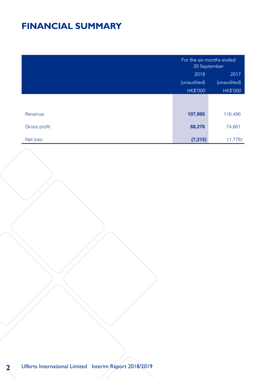# **FINANCIAL SUMMARY**

|              | For the six months ended<br>30 September |             |
|--------------|------------------------------------------|-------------|
|              | 2018                                     | 2017        |
|              | (unaudited)                              | (unaudited) |
|              | HK\$'000                                 | HK\$'000    |
|              |                                          |             |
|              |                                          |             |
| Revenue      | 107,995                                  | 116,486     |
| Gross profit | 68,276                                   | 74,661      |
| Net loss     | (7, 215)                                 | (1,778)     |

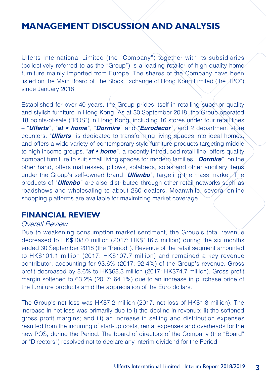Ulferts International Limited (the "Company") together with its subsidiaries (collectively referred to as the "Group") is a leading retailer of high quality home furniture mainly imported from Europe. The shares of the Company have been listed on the Main Board of The Stock Exchange of Hong Kong Limited (the "IPO") since January 2018.

Established for over 40 years, the Group prides itself in retailing superior quality and stylish furniture in Hong Kong. As at 30 September 2018, the Group operated 18 points-of-sale ("POS") in Hong Kong, including 16 stores under four retail lines – "**Ulferts**", "**at** *•* **home**", "**Dormire**" and "**Eurodecor**", and 2 department store counters. "**Ulferts**" is dedicated to transforming living spaces into ideal homes, and offers a wide variety of contemporary style furniture products targeting middle to high income groups. "**at** *•* **home**", a recently introduced retail line, offers quality compact furniture to suit small living spaces for modern families. "**Dormire**", on the other hand, offers mattresses, pillows, sofabeds, sofas and other ancillary items under the Group's self-owned brand "**Ulfenbo**", targeting the mass market. The products of "**Ulfenbo**" are also distributed through other retail networks such as roadshows and wholesaling to about 260 dealers. Meanwhile, several online shopping platforms are available for maximizing market coverage.

#### **FINANCIAL REVIEW**

#### Overall Review

Due to weakening consumption market sentiment, the Group's total revenue decreased to HK\$108.0 million (2017: HK\$116.5 million) during the six months ended 30 September 2018 (the "Period"). Revenue of the retail segment amounted to HK\$101.1 million (2017: HK\$107.7 million) and remained a key revenue contributor, accounting for 93.6% (2017: 92.4%) of the Group's revenue. Gross profit decreased by 8.6% to HK\$68.3 million (2017: HK\$74.7 million). Gross profit margin softened to 63.2% (2017: 64.1%) due to an increase in purchase price of the furniture products amid the appreciation of the Euro dollars.

The Group's net loss was HK\$7.2 million (2017: net loss of HK\$1.8 million). The increase in net loss was primarily due to i) the decline in revenue; ii) the softened gross profit margins; and iii) an increase in selling and distribution expenses resulted from the incurring of start-up costs, rental expenses and overheads for the new POS, during the Period. The board of directors of the Company (the "Board" or "Directors") resolved not to declare any interim dividend for the Period.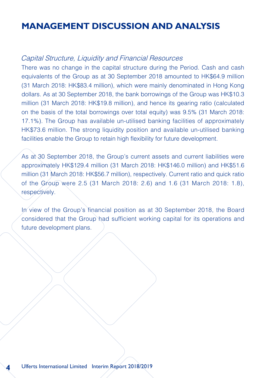#### Capital Structure, Liquidity and Financial Resources

There was no change in the capital structure during the Period. Cash and cash equivalents of the Group as at 30 September 2018 amounted to HK\$64.9 million (31 March 2018: HK\$83.4 million), which were mainly denominated in Hong Kong dollars. As at 30 September 2018, the bank borrowings of the Group was HK\$10.3 million (31 March 2018: HK\$19.8 million), and hence its gearing ratio (calculated on the basis of the total borrowings over total equity) was 9.5% (31 March 2018: 17.1%). The Group has available un-utilised banking facilities of approximately HK\$73.6 million. The strong liquidity position and available un-utilised banking facilities enable the Group to retain high flexibility for future development.

As at 30 September 2018, the Group's current assets and current liabilities were approximately HK\$129.4 million (31 March 2018: HK\$146.0 million) and HK\$51.6 million (31 March 2018: HK\$56.7 million), respectively. Current ratio and quick ratio of the Group were 2.5 (31 March 2018: 2.6) and 1.6 (31 March 2018: 1.8), respectively.

In view of the Group's financial position as at 30 September 2018, the Board considered that the Group had sufficient working capital for its operations and future development plans.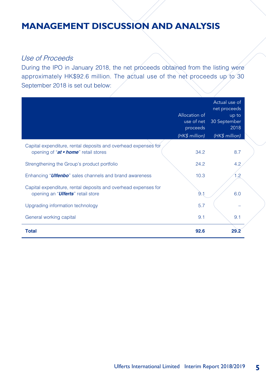#### Use of Proceeds

During the IPO in January 2018, the net proceeds obtained from the listing were approximately HK\$92.6 million. The actual use of the net proceeds up to 30 September 2018 is set out below:

|                                                                                                              | Allocation of<br>use of net<br>proceeds<br>(HK\$ million) | Actual use of<br>net proceeds<br>up to<br>30 September<br>2018<br>(HK\$ million) |
|--------------------------------------------------------------------------------------------------------------|-----------------------------------------------------------|----------------------------------------------------------------------------------|
| Capital expenditure, rental deposits and overhead expenses for<br>opening of "at • home" retail stores       | 34.2                                                      | 8.7                                                                              |
| Strengthening the Group's product portfolio                                                                  | 24.2                                                      | 4.2                                                                              |
| Enhancing " <b>Ulfenbo</b> " sales channels and brand awareness                                              | 10.3                                                      | 1.2                                                                              |
| Capital expenditure, rental deposits and overhead expenses for<br>opening an " <i>Ulferts</i> " retail store | 9.1                                                       | 6.0                                                                              |
| Upgrading information technology                                                                             | 5.7                                                       |                                                                                  |
| General working capital                                                                                      | 9.1                                                       | 9.1                                                                              |
| <b>Total</b>                                                                                                 | 92.6                                                      | 29.2                                                                             |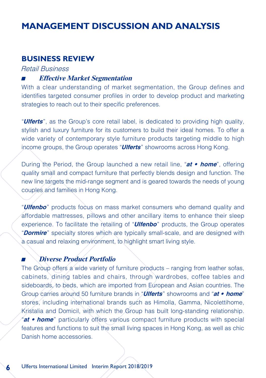#### **BUSINESS REVIEW**

Retail Business

#### ■ **Effective Market Segmentation**

With a clear understanding of market segmentation, the Group defines and identifies targeted consumer profiles in order to develop product and marketing strategies to reach out to their specific preferences.

"**Ulferts**", as the Group's core retail label, is dedicated to providing high quality, stylish and luxury furniture for its customers to build their ideal homes. To offer a wide variety of contemporary style furniture products targeting middle to high income groups, the Group operates "**Ulferts**" showrooms across Hong Kong.

During the Period, the Group launched a new retail line, "**at** *•* **home**", offering quality small and compact furniture that perfectly blends design and function. The new line targets the mid-range segment and is geared towards the needs of young couples and families in Hong Kong.

"**Ulfenbo**" products focus on mass market consumers who demand quality and affordable mattresses, pillows and other ancillary items to enhance their sleep experience. To facilitate the retailing of "**Ulfenbo**" products, the Group operates "**Dormire**" specialty stores which are typically small-scale, and are designed with a casual and relaxing environment, to highlight smart living style.

#### ■ **Diverse Product Portfolio**

The Group offers a wide variety of furniture products – ranging from leather sofas, cabinets, dining tables and chairs, through wardrobes, coffee tables and sideboards, to beds, which are imported from European and Asian countries. The Group carries around 50 furniture brands in "**Ulferts**" showrooms and "**at** *•* **home**" stores, including international brands such as Himolla, Gamma, Nicolettihome, Kristalia and Domicil, with which the Group has built long-standing relationship. "**at** *•* **home**" particularly offers various compact furniture products with special features and functions to suit the small living spaces in Hong Kong, as well as chic Danish home accessories.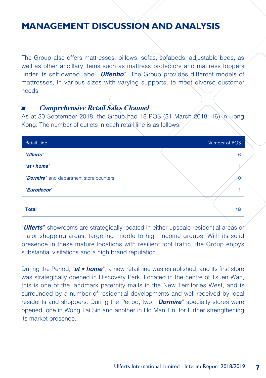The Group also offers mattresses, pillows, sofas, sofabeds, adjustable beds, as well as other ancillary items such as mattress protectors and mattress toppers under its self-owned label "**Ulfenbo**". The Group provides different models of mattresses, in various sizes with varying supports, to meet diverse customer needs.

#### ■ **Comprehensive Retail Sales Channel**

As at 30 September 2018, the Group had 18 POS (31 March 2018: 16) in Hong Kong. The number of outlets in each retail line is as follows:

| <b>Retail Line</b>                               | Number of POS |
|--------------------------------------------------|---------------|
| "Ulferts"                                        | 6             |
| "at • home"                                      |               |
| " <b>Dormire</b> " and department store counters | 10            |
| "Eurodecor"                                      |               |
| <b>Total</b>                                     | 18            |

"**Ulferts**" showrooms are strategically located in either upscale residential areas or major shopping areas, targeting middle to high income groups. With its solid presence in these mature locations with resilient foot traffic, the Group enjoys substantial visitations and a high brand reputation.

During the Period, "**at** *•* **home**", a new retail line was established, and its first store was strategically opened in Discovery Park. Located in the centre of Tsuen Wan, this is one of the landmark paternity malls in the New Territories West, and is surrounded by a number of residential developments and well-received by local residents and shoppers. During the Period, two "**Dormire**" specialty stores were opened, one in Wong Tai Sin and another in Ho Man Tin, for further strengthening its market presence.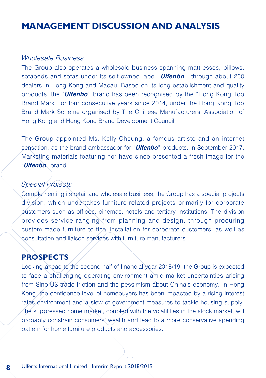#### Wholesale Business

The Group also operates a wholesale business spanning mattresses, pillows, sofabeds and sofas under its self-owned label "**Ulfenbo**", through about 260 dealers in Hong Kong and Macau. Based on its long establishment and quality products, the "**Ulfenbo**" brand has been recognised by the "Hong Kong Top Brand Mark" for four consecutive years since 2014, under the Hong Kong Top Brand Mark Scheme organised by The Chinese Manufacturers' Association of Hong Kong and Hong Kong Brand Development Council.

The Group appointed Ms. Kelly Cheung, a famous artiste and an internet sensation, as the brand ambassador for "**Ulfenbo**" products, in September 2017. Marketing materials featuring her have since presented a fresh image for the "**Ulfenbo**" brand.

### Special Projects

Complementing its retail and wholesale business, the Group has a special projects division, which undertakes furniture-related projects primarily for corporate customers such as offices, cinemas, hotels and tertiary institutions. The division provides service ranging from planning and design, through procuring custom-made furniture to final installation for corporate customers, as well as consultation and liaison services with furniture manufacturers.

### **PROSPECTS**

Looking ahead to the second half of financial year 2018/19, the Group is expected to face a challenging operating environment amid market uncertainties arising from Sino-US trade friction and the pessimism about China's economy. In Hong Kong, the confidence level of homebuyers has been impacted by a rising interest rates environment and a slew of government measures to tackle housing supply. The suppressed home market, coupled with the volatilities in the stock market, will probably constrain consumers' wealth and lead to a more conservative spending pattern for home furniture products and accessories.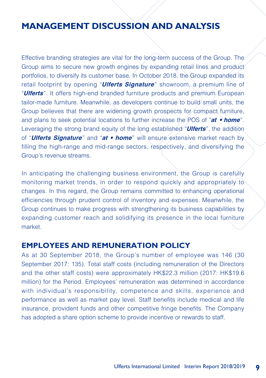Effective branding strategies are vital for the long-term success of the Group. The Group aims to secure new growth engines by expanding retail lines and product portfolios, to diversify its customer base. In October 2018, the Group expanded its retail footprint by opening "**Ulferts Signature**" showroom, a premium line of "**Ulferts**". It offers high-end branded furniture products and premium European tailor-made furniture. Meanwhile, as developers continue to build small units, the Group believes that there are widening growth prospects for compact furniture, and plans to seek potential locations to further increase the POS of "**at** *•* **home**". Leveraging the strong brand equity of the long established "**Ulferts**", the addition of "**Ulferts Signature**" and "**at** *•* **home**" will ensure extensive market reach by filling the high-range and mid-range sectors, respectively, and diversifying the Group's revenue streams.

In anticipating the challenging business environment, the Group is carefully monitoring market trends, in order to respond quickly and appropriately to changes. In this regard, the Group remains committed to enhancing operational efficiencies through prudent control of inventory and expenses. Meanwhile, the Group continues to make progress with strengthening its business capabilities by expanding customer reach and solidifying its presence in the local furniture market.

#### **EMPLOYEES AND REMUNERATION POLICY**

As at 30 September 2018, the Group's number of employee was 146 (30 September 2017: 135). Total staff costs (including remuneration of the Directors and the other staff costs) were approximately HK\$22.3 million (2017: HK\$19.6 million) for the Period. Employees' remuneration was determined in accordance with individual's responsibility, competence and skills, experience and performance as well as market pay level. Staff benefits include medical and life insurance, provident funds and other competitive fringe benefits. The Company has adopted a share option scheme to provide incentive or rewards to staff.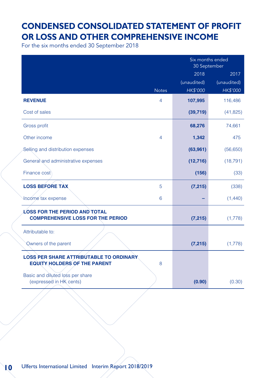## **CONDENSED CONSOLIDATED STATEMENT OF PROFIT OR LOSS AND OTHER COMPREHENSIVE INCOME**

For the six months ended 30 September 2018

|                                                                                       |              | Six months ended<br>30 September |             |
|---------------------------------------------------------------------------------------|--------------|----------------------------------|-------------|
|                                                                                       |              | 2018                             | 2017        |
|                                                                                       |              | (unaudited)                      | (unaudited) |
|                                                                                       | <b>Notes</b> | <b>HK\$'000</b>                  | HK\$'000    |
| <b>REVENUE</b>                                                                        | 4            | 107,995                          | 116,486     |
| Cost of sales                                                                         |              | (39, 719)                        | (41, 825)   |
| Gross profit                                                                          |              | 68,276                           | 74,661      |
| Other income                                                                          | 4            | 1,342                            | 475         |
| Selling and distribution expenses                                                     |              | (63, 961)                        | (56,650)    |
| General and administrative expenses                                                   |              | (12, 716)                        | (18, 791)   |
| Finance cost                                                                          |              | (156)                            | (33)        |
| <b>LOSS BEFORE TAX</b>                                                                | 5            | (7, 215)                         | (338)       |
| Income tax expense                                                                    | 6            |                                  | (1,440)     |
| <b>LOSS FOR THE PERIOD AND TOTAL</b>                                                  |              |                                  |             |
| <b>COMPREHENSIVE LOSS FOR THE PERIOD</b>                                              |              | (7, 215)                         | (1,778)     |
| Attributable to:                                                                      |              |                                  |             |
| Owners of the parent                                                                  |              | (7, 215)                         | (1,778)     |
| <b>LOSS PER SHARE ATTRIBUTABLE TO ORDINARY</b><br><b>EQUITY HOLDERS OF THE PARENT</b> | 8            |                                  |             |
| Basic and diluted loss per share<br>(expressed in HK cents)                           |              | (0.90)                           | (0.30)      |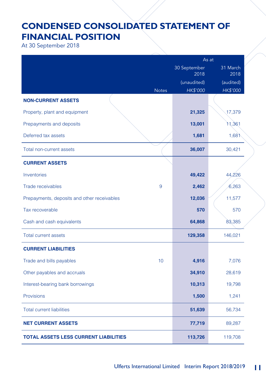# **CONDENSED CONSOLIDATED STATEMENT OF FINANCIAL POSITION**

At 30 September 2018

|                                              | As at                |                  |
|----------------------------------------------|----------------------|------------------|
|                                              | 30 September<br>2018 | 31 March<br>2018 |
|                                              | (unaudited)          | (audited)        |
| <b>Notes</b>                                 | <b>HK\$'000</b>      | HK\$'000         |
| <b>NON-CURRENT ASSETS</b>                    |                      |                  |
| Property, plant and equipment                | 21,325               | 17,379           |
| Prepayments and deposits                     | 13,001               | 11,361           |
| Deferred tax assets                          | 1,681                | 1,68             |
| Total non-current assets                     | 36,007               | 30,421           |
| <b>CURRENT ASSETS</b>                        |                      |                  |
| Inventories                                  | 49,422               | 44,226           |
| <b>Trade receivables</b><br>9                | 2,462                | 6,263            |
| Prepayments, deposits and other receivables  | 12,036               | 11,577           |
| Tax recoverable                              | 570                  | 570              |
| Cash and cash equivalents                    | 64,868               | 83,385           |
| <b>Total current assets</b>                  | 129,358              | 146,021          |
| <b>CURRENT LIABILITIES</b>                   |                      |                  |
| Trade and bills payables<br>10 <sup>1</sup>  | 4,916                | 7,076            |
| Other payables and accruals                  | 34,910               | 28,619           |
| Interest-bearing bank borrowings             | 10,313               | 19,798           |
| Provisions                                   | 1,500                | 1,241            |
| <b>Total current liabilities</b>             | 51,639               | 56,734           |
| <b>NET CURRENT ASSETS</b>                    | 77,719               | 89,287           |
| <b>TOTAL ASSETS LESS CURRENT LIABILITIES</b> | 113,726              | 119,708          |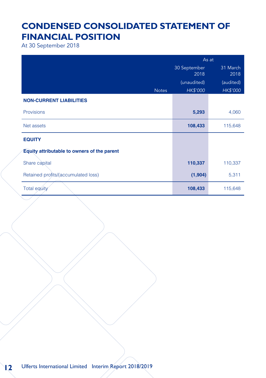# **CONDENSED CONSOLIDATED STATEMENT OF FINANCIAL POSITION**

At 30 September 2018

|                                             |              | As at                |                  |
|---------------------------------------------|--------------|----------------------|------------------|
|                                             |              | 30 September<br>2018 | 31 March<br>2018 |
|                                             |              | (unaudited)          | (audited)        |
|                                             | <b>Notes</b> | <b>HK\$'000</b>      | HK\$'000         |
| <b>NON-CURRENT LIABILITIES</b>              |              |                      |                  |
| Provisions                                  |              | 5,293                | 4,060            |
| Net assets                                  |              | 108,433              | 115,648          |
| <b>EQUITY</b>                               |              |                      |                  |
| Equity attributable to owners of the parent |              |                      |                  |
| Share capital                               |              | 110,337              | 110,337          |
| Retained profits/(accumulated loss)         |              | (1,904)              | 5,311            |
| Total equity                                |              | 108,433              | 115,648          |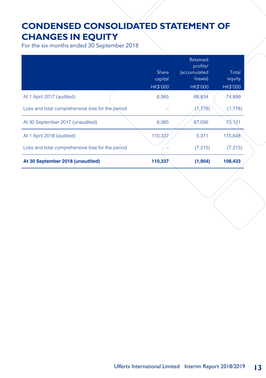# **CONDENSED CONSOLIDATED STATEMENT OF CHANGES IN EQUITY**

For the six months ended 30 September 2018

|                                                  | Share<br>capital<br><b>HK\$'000</b> | Retained<br>profits/<br><i>(accumulated</i><br>losses)<br><b>HK\$'000</b> | Total<br>equity<br><b>HK\$'000</b> |
|--------------------------------------------------|-------------------------------------|---------------------------------------------------------------------------|------------------------------------|
| At 1 April 2017 (audited)                        | 6,065                               | 68,834                                                                    | 74,899                             |
| Loss and total comprehensive loss for the period |                                     | (1,778)                                                                   | (1,778)                            |
| At 30 September 2017 (unaudited)                 | 6,065                               | 67,056                                                                    | 73,121                             |
| At 1 April 2018 (audited)                        | 110,337                             | 5,311                                                                     | 115,648                            |
| Loss and total comprehensive loss for the period |                                     | (7, 215)                                                                  | (7,215)                            |
| At 30 September 2018 (unaudited)                 | 110,337                             | (1,904)                                                                   | 108,433                            |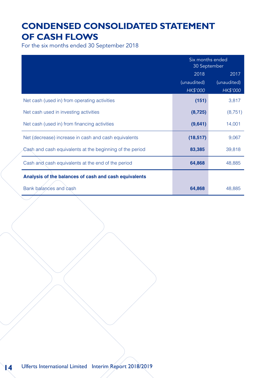# **CONDENSED CONSOLIDATED STATEMENT OF CASH FLOWS**

For the six months ended 30 September 2018

|                                                          | Six months ended<br>30 September |             |
|----------------------------------------------------------|----------------------------------|-------------|
|                                                          | 2018                             | 2017        |
|                                                          | (unaudited)                      | (unaudited) |
|                                                          | HK\$'000                         | HK\$'000    |
| Net cash (used in) from operating activities             | (151)                            | 3,817       |
| Net cash used in investing activities                    | (8, 725)                         | (8,751)     |
| Net cash (used in) from financing activities             | (9,641)                          | 14,001      |
| Net (decrease) increase in cash and cash equivalents     | (18, 517)                        | 9,067       |
| Cash and cash equivalents at the beginning of the period | 83,385                           | 39,818      |
| Cash and cash equivalents at the end of the period       | 64,868                           | 48,885      |
| Analysis of the balances of cash and cash equivalents    |                                  |             |
| Bank balances and cash                                   | 64,868                           | 48,885      |

**14** Ulferts International Limited Interim Report 2018/2019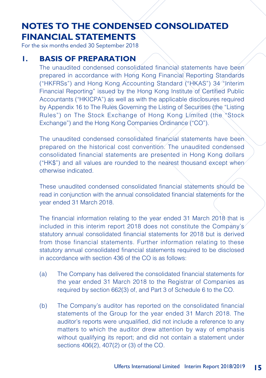For the six months ended 30 September 2018

### **1. BASIS OF PREPARATION**

The unaudited condensed consolidated financial statements have been prepared in accordance with Hong Kong Financial Reporting Standards ("HKFRSs") and Hong Kong Accounting Standard ("HKAS") 34 "Interim Financial Reporting" issued by the Hong Kong Institute of Certified Public Accountants ("HKICPA") as well as with the applicable disclosures required by Appendix 16 to The Rules Governing the Listing of Securities (the "Listing Rules") on The Stock Exchange of Hong Kong Limited (the "Stock Exchange") and the Hong Kong Companies Ordinance ("CO").

The unaudited condensed consolidated financial statements have been prepared on the historical cost convention. The unaudited condensed consolidated financial statements are presented in Hong Kong dollars ("HK\$") and all values are rounded to the nearest thousand except when otherwise indicated.

These unaudited condensed consolidated financial statements should be read in conjunction with the annual consolidated financial statements for the year ended 31 March 2018.

The financial information relating to the year ended 31 March 2018 that is included in this interim report 2018 does not constitute the Company's statutory annual consolidated financial statements for 2018 but is derived from those financial statements. Further information relating to these statutory annual consolidated financial statements required to be disclosed in accordance with section 436 of the CO is as follows:

- (a) The Company has delivered the consolidated financial statements for the year ended 31 March 2018 to the Registrar of Companies as required by section 662(3) of, and Part 3 of Schedule 6 to the CO.
- (b) The Company's auditor has reported on the consolidated financial statements of the Group for the year ended 31 March 2018. The auditor's reports were unqualified, did not include a reference to any matters to which the auditor drew attention by way of emphasis without qualifying its report; and did not contain a statement under sections 406(2), 407(2) or (3) of the CO.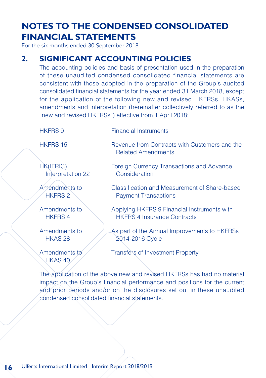For the six months ended 30 September 2018

### **2. SIGNIFICANT ACCOUNTING POLICIES**

The accounting policies and basis of presentation used in the preparation of these unaudited condensed consolidated financial statements are consistent with those adopted in the preparation of the Group's audited consolidated financial statements for the year ended 31 March 2018, except for the application of the following new and revised HKFRSs, HKASs, amendments and interpretation (hereinafter collectively referred to as the "new and revised HKFRSs") effective from 1 April 2018:

HKFRS 9 Financial Instruments

HKFRS 15 Revenue from Contracts with Customers and the Related Amendments

HK(IFRIC) Interpretation 22

Amendments to HKFRS 2

Amendments to HKFRS 4

Amendments to HKAS 28

Amendments to HKAS 40

Foreign Currency Transactions and Advance Consideration

Classification and Measurement of Share-based Payment Transactions

Applying HKFRS 9 Financial Instruments with HKFRS 4 Insurance Contracts

As part of the Annual Improvements to HKFRSs 2014-2016 Cycle

Transfers of Investment Property

The application of the above new and revised HKFRSs has had no material impact on the Group's financial performance and positions for the current and prior periods and/or on the disclosures set out in these unaudited condensed consolidated financial statements.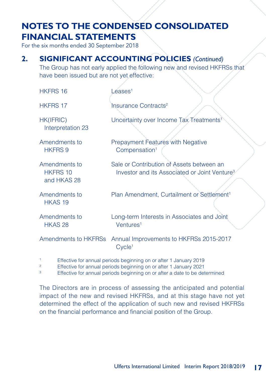For the six months ended 30 September 2018

### **2. SIGNIFICANT ACCOUNTING POLICIES** *(Continued)*

The Group has not early applied the following new and revised HKFRSs that have been issued but are not yet effective:

| <b>HKFRS 16</b>                                 | Leases <sup>1</sup>                                                                                    |
|-------------------------------------------------|--------------------------------------------------------------------------------------------------------|
| <b>HKFRS 17</b>                                 | Insurance Contracts <sup>2</sup>                                                                       |
| HK(IFRIC)<br>Interpretation 23                  | Uncertainty over Income Tax Treatments <sup>1</sup>                                                    |
| Amendments to<br><b>HKFRS 9</b>                 | Prepayment Features with Negative<br>Compensation <sup>1</sup>                                         |
| Amendments to<br><b>HKFRS 10</b><br>and HKAS 28 | Sale or Contribution of Assets between an<br>Investor and its Associated or Joint Venture <sup>3</sup> |
| Amendments to<br>HKAS <sub>19</sub>             | Plan Amendment, Curtailment or Settlement <sup>1</sup>                                                 |
| Amendments to<br>HKAS 28                        | Long-term Interests in Associates and Joint<br>Ventures <sup>1</sup>                                   |
|                                                 | Amendments to HKFRSs Annual Improvements to HKFRSs 2015-2017<br>$C$ vcle <sup>1</sup>                  |

- <sup>1</sup> Effective for annual periods beginning on or after 1 January 2019
- <sup>2</sup><br>
Effective for annual periods beginning on or after 1 January 2021<br>
Fitterius for annual periods beginning on or after a data to be determined
- Effective for annual periods beginning on or after a date to be determined

The Directors are in process of assessing the anticipated and potential impact of the new and revised HKFRSs, and at this stage have not yet determined the effect of the application of such new and revised HKFRSs on the financial performance and financial position of the Group.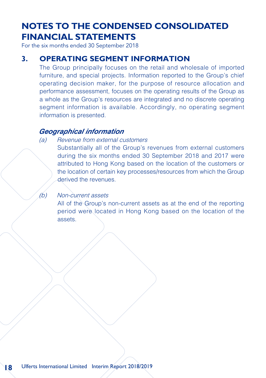For the six months ended 30 September 2018

#### **3. OPERATING SEGMENT INFORMATION**

The Group principally focuses on the retail and wholesale of imported furniture, and special projects. Information reported to the Group's chief operating decision maker, for the purpose of resource allocation and performance assessment, focuses on the operating results of the Group as a whole as the Group's resources are integrated and no discrete operating segment information is available. Accordingly, no operating segment information is presented.

#### *Geographical information*

#### (a) Revenue from external customers

Substantially all of the Group's revenues from external customers during the six months ended 30 September 2018 and 2017 were attributed to Hong Kong based on the location of the customers or the location of certain key processes/resources from which the Group derived the revenues.

#### (b) Non-current assets

All of the Group's non-current assets as at the end of the reporting period were located in Hong Kong based on the location of the assets.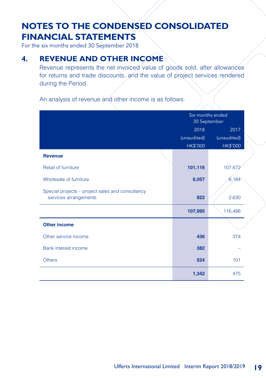For the six months ended 30 September 2018

### **4. REVENUE AND OTHER INCOME**

Revenue represents the net invoiced value of goods sold, after allowances for returns and trade discounts, and the value of project services rendered during the Period.

An analysis of revenue and other income is as follows:

|                                                                           | Six months ended<br>30 September |             |
|---------------------------------------------------------------------------|----------------------------------|-------------|
|                                                                           | 2018                             | 2017        |
|                                                                           | (unaudited)                      | (unaudited) |
|                                                                           | HK\$'000                         | HK\$'000    |
| <b>Revenue</b>                                                            |                                  |             |
| Retail of furniture                                                       | 101,116                          | 107,672     |
| Wholesale of furniture                                                    | 6,057                            | 6,184       |
| Special projects – project sales and consultancy<br>services arrangements | 822                              | 2,630       |
|                                                                           | 107,995                          | 116,486     |
| <b>Other income</b>                                                       |                                  |             |
| Other service income                                                      | 436                              | 374         |
| Bank interest income                                                      | 382                              |             |
| <b>Others</b>                                                             | 524                              | 101         |
|                                                                           | 1,342                            | 475         |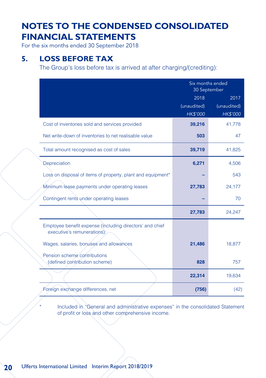For the six months ended 30 September 2018

### **5. LOSS BEFORE TAX**

The Group's loss before tax is arrived at after charging/(crediting):

|                                                                                         | Six months ended<br>30 September |             |
|-----------------------------------------------------------------------------------------|----------------------------------|-------------|
|                                                                                         | 2018                             | 2017        |
|                                                                                         | (unaudited)                      | (unaudited) |
|                                                                                         | <b>HK\$'000</b>                  | HK\$'000    |
| Cost of inventories sold and services provided                                          | 39,216                           | 41,778      |
| Net write-down of inventories to net realisable value                                   | 503                              | 47          |
| Total amount recognised as cost of sales                                                | 39,719                           | 41,825      |
| Depreciation                                                                            | 6,271                            | 4,506       |
| Loss on disposal of items of property, plant and equipment*                             |                                  | 543         |
| Minimum lease payments under operating leases                                           | 27,783                           | 24,177      |
| Contingent rents under operating leases                                                 |                                  | 70          |
|                                                                                         | 27,783                           | 24,247      |
| Employee benefit expense (including directors' and chief<br>executive's remunerations); |                                  |             |
| Wages, salaries, bonuses and allowances                                                 | 21,486                           | 18,877      |
| Pension scheme contributions<br>(defined contribution scheme)                           | 828                              | 757         |
|                                                                                         | 22,314                           | 19,634      |
| Foreign exchange differences, net                                                       | (756)                            | (42)        |

Included in "General and administrative expenses" in the consolidated Statement of profit or loss and other comprehensive income.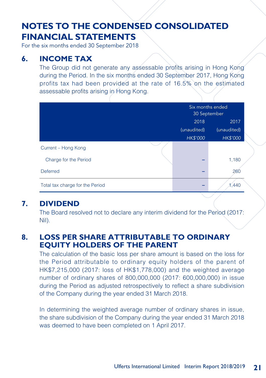For the six months ended 30 September 2018

### **6. INCOME TAX**

The Group did not generate any assessable profits arising in Hong Kong during the Period. In the six months ended 30 September 2017, Hong Kong profits tax had been provided at the rate of 16.5% on the estimated assessable profits arising in Hong Kong.

|                                 | Six months ended<br>30 September |                 |
|---------------------------------|----------------------------------|-----------------|
|                                 | 2018                             | 2017            |
|                                 | (unaudited)                      | (unaudited)     |
|                                 | <b>HK\$'000</b>                  | <b>HK\$'000</b> |
| Current - Hong Kong             |                                  |                 |
| Charge for the Period           |                                  | 1,180           |
| <b>Deferred</b>                 |                                  | 260             |
| Total tax charge for the Period |                                  | 1,440           |

### **7. DIVIDEND**

The Board resolved not to declare any interim dividend for the Period (2017: Nil).

### **8. LOSS PER SHARE ATTRIBUTABLE TO ORDINARY EQUITY HOLDERS OF THE PARENT**

The calculation of the basic loss per share amount is based on the loss for the Period attributable to ordinary equity holders of the parent of HK\$7,215,000 (2017: loss of HK\$1,778,000) and the weighted average number of ordinary shares of 800,000,000 (2017: 600,000,000) in issue during the Period as adjusted retrospectively to reflect a share subdivision of the Company during the year ended 31 March 2018.

In determining the weighted average number of ordinary shares in issue, the share subdivision of the Company during the year ended 31 March 2018 was deemed to have been completed on 1 April 2017.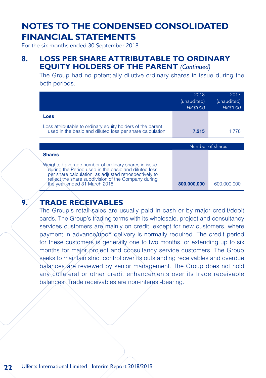For the six months ended 30 September 2018

### **8. LOSS PER SHARE ATTRIBUTABLE TO ORDINARY EQUITY HOLDERS OF THE PARENT** *(Continued)*

The Group had no potentially dilutive ordinary shares in issue during the both periods.

|                                                                                                                        | 2018<br>(unaudited)<br><b>HK\$'000</b> | 2017<br>(unaudited)<br><b>HK\$'000</b> |
|------------------------------------------------------------------------------------------------------------------------|----------------------------------------|----------------------------------------|
| Loss                                                                                                                   |                                        |                                        |
| Loss attributable to ordinary equity holders of the parent<br>used in the basic and diluted loss per share calculation | 7,215                                  | 1.778                                  |
|                                                                                                                        |                                        | Number of shares                       |
| <b>Shares</b>                                                                                                          |                                        |                                        |
|                                                                                                                        |                                        |                                        |

### **9. TRADE RECEIVABLES**

The Group's retail sales are usually paid in cash or by major credit/debit cards. The Group's trading terms with its wholesale, project and consultancy services customers are mainly on credit, except for new customers, where payment in advance/upon delivery is normally required. The credit period for these customers is generally one to two months, or extending up to six months for major project and consultancy service customers. The Group seeks to maintain strict control over its outstanding receivables and overdue balances are reviewed by senior management. The Group does not hold any collateral or other credit enhancements over its trade receivable balances. Trade receivables are non-interest-bearing.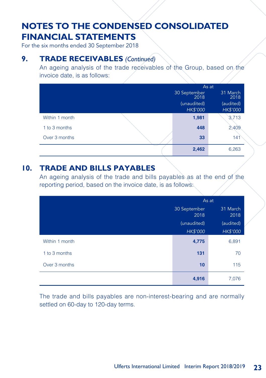For the six months ended 30 September 2018

### **9. TRADE RECEIVABLES** *(Continued)*

An ageing analysis of the trade receivables of the Group, based on the invoice date, is as follows:

|                | As at                          |                       |
|----------------|--------------------------------|-----------------------|
|                | 30 September<br>2018           | 31 March<br>2018      |
|                | (unaudited)<br><b>HK\$'000</b> | (audited)<br>HK\$'000 |
| Within 1 month | 1,981                          | 3,713                 |
| 1 to 3 months  | 448                            | 2,409                 |
| Over 3 months  | 33                             | 141                   |
|                | 2,462                          | 6,263                 |

### **10. TRADE AND BILLS PAYABLES**

An ageing analysis of the trade and bills payables as at the end of the reporting period, based on the invoice date, is as follows:

|                | As at                |                  |
|----------------|----------------------|------------------|
|                | 30 September<br>2018 | 31 March<br>2018 |
|                | (unaudited)          | (audited)        |
|                | HK\$'000             | HK\$'000         |
| Within 1 month | 4,775                | 6,891            |
| 1 to 3 months  | 131                  | 70               |
| Over 3 months  | 10                   | 115              |
|                | 4,916                | 7,076            |

The trade and bills payables are non-interest-bearing and are normally settled on 60-day to 120-day terms.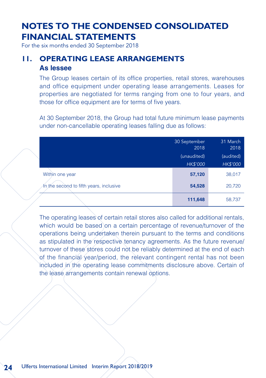For the six months ended 30 September 2018

### **11. OPERATING LEASE ARRANGEMENTS As lessee**

The Group leases certain of its office properties, retail stores, warehouses and office equipment under operating lease arrangements. Leases for properties are negotiated for terms ranging from one to four years, and those for office equipment are for terms of five years.

At 30 September 2018, the Group had total future minimum lease payments under non-cancellable operating leases falling due as follows:

|                                         | 30 September<br>2018 | 31 March<br>2018 |
|-----------------------------------------|----------------------|------------------|
|                                         | (unaudited)          | (audited)        |
|                                         | <b>HK\$'000</b>      | <b>HK\$'000</b>  |
| Within one year                         | 57,120               | 38,017           |
| In the second to fifth years, inclusive | 54,528               | 20,720           |
|                                         | 111,648              | 58,737           |

The operating leases of certain retail stores also called for additional rentals, which would be based on a certain percentage of revenue/turnover of the operations being undertaken therein pursuant to the terms and conditions as stipulated in the respective tenancy agreements. As the future revenue/ turnover of these stores could not be reliably determined at the end of each of the financial/year/period, the relevant contingent rental has not been included in the operating lease commitments disclosure above. Certain of the lease arrangements contain renewal options.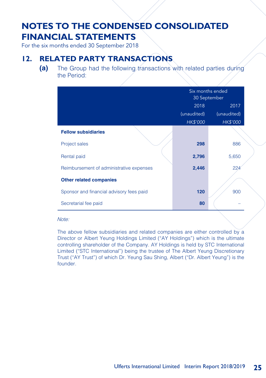For the six months ended 30 September 2018

### **12. RELATED PARTY TRANSACTIONS**

**(a)** The Group had the following transactions with related parties during the Period:

|                                          | Six months ended<br>30 September |                 |
|------------------------------------------|----------------------------------|-----------------|
|                                          | 2018<br>2017                     |                 |
|                                          | (unaudited)                      | (unaudited)     |
|                                          | <b>HK\$'000</b>                  | <b>HK\$'000</b> |
| <b>Fellow subsidiaries</b>               |                                  |                 |
| Project sales                            | 298                              | 886             |
| Rental paid                              | 2,796                            | 5,650           |
| Reimbursement of administrative expenses | 2,446                            | 22 <sub>6</sub> |
| <b>Other related companies</b>           |                                  |                 |
| Sponsor and financial advisory fees paid | 120                              | 900             |
| Secretarial fee paid                     | 80                               |                 |

#### Note:

The above fellow subsidiaries and related companies are either controlled by a Director or Albert Yeung Holdings Limited ("AY Holdings") which is the ultimate controlling shareholder of the Company. AY Holdings is held by STC International Limited ("STC International") being the trustee of The Albert Yeung Discretionary Trust ("AY Trust") of which Dr. Yeung Sau Shing, Albert ("Dr. Albert Yeung") is the founder.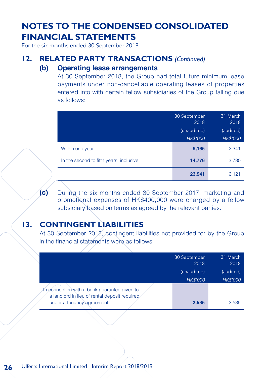For the six months ended 30 September 2018

#### **12. RELATED PARTY TRANSACTIONS** *(Continued)*

#### **(b) Operating lease arrangements**

At 30 September 2018, the Group had total future minimum lease payments under non-cancellable operating leases of properties entered into with certain fellow subsidiaries of the Group falling due as follows:

|                                         | 30 September<br>2018<br>(unaudited)<br><b>HK\$'000</b> | 31 March<br>2018<br>(audited)<br><b>HK\$'000</b> |
|-----------------------------------------|--------------------------------------------------------|--------------------------------------------------|
| Within one year                         | 9,165                                                  | 2,341                                            |
| In the second to fifth years, inclusive | 14,776                                                 | 3,780                                            |
|                                         | 23,941                                                 | 6,121                                            |

**(c)** During the six months ended 30 September 2017, marketing and promotional expenses of HK\$400,000 were charged by a fellow subsidiary based on terms as agreed by the relevant parties.

### **13. CONTINGENT LIABILITIES**

At 30 September 2018, contingent liabilities not provided for by the Group in the financial statements were as follows:

|                                                                                               | 30 September<br>2018 | 31 March<br>2018 |
|-----------------------------------------------------------------------------------------------|----------------------|------------------|
|                                                                                               | (unaudited)          | (audited)        |
|                                                                                               | <b>HK\$'000</b>      | <b>HK\$'000</b>  |
| In connection with a bank quarantee given to<br>a landlord in lieu of rental deposit required |                      |                  |
| under a tenancy agreement                                                                     | 2,535                | 2.535            |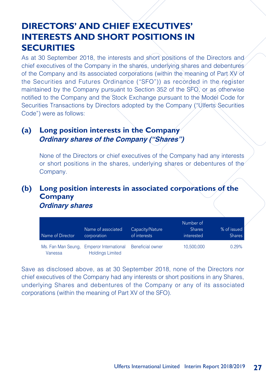# **DIRECTORS' AND CHIEF EXECUTIVES' INTERESTS AND SHORT POSITIONS IN SECURITIES**

As at 30 September 2018, the interests and short positions of the Directors and chief executives of the Company in the shares, underlying shares and debentures of the Company and its associated corporations (within the meaning of Part XV of the Securities and Futures Ordinance ("SFO")) as recorded in the register maintained by the Company pursuant to Section 352 of the SFO, or as otherwise notified to the Company and the Stock Exchange pursuant to the Model Code for Securities Transactions by Directors adopted by the Company ("Ulferts Securities Code") were as follows:

### **(a) Long position interests in the Company Ordinary shares of the Company ("Shares")**

None of the Directors or chief executives of the Company had any interests or short positions in the shares, underlying shares or debentures of the Company.

### **(b) Long position interests in associated corporations of the Company Ordinary shares**

| Name of Director | Name of associated<br>corporation                                   | Capacity/Nature<br>of interests | Number of<br><b>Shares</b><br>interested | % of issued<br><b>Shares</b> |
|------------------|---------------------------------------------------------------------|---------------------------------|------------------------------------------|------------------------------|
| Vanessa          | Ms. Fan Man Seung, Emperor International<br><b>Holdings Limited</b> | <b>Beneficial owner</b>         | 10.500.000                               | 0.29%                        |

Save as disclosed above, as at 30 September 2018, none of the Directors nor chief executives of the Company had any interests or short positions in any Shares, underlying Shares and debentures of the Company or any of its associated corporations (within the meaning of Part XV of the SFO).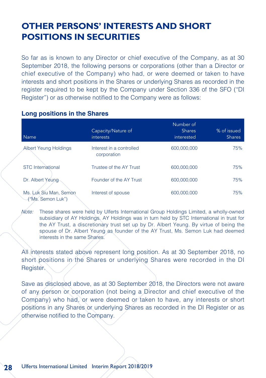# **OTHER PERSONS' INTERESTS AND SHORT POSITIONS IN SECURITIES**

So far as is known to any Director or chief executive of the Company, as at 30 September 2018, the following persons or corporations (other than a Director or chief executive of the Company) who had, or were deemed or taken to have interests and short positions in the Shares or underlying Shares as recorded in the register required to be kept by the Company under Section 336 of the SFO ("DI Register") or as otherwise notified to the Company were as follows:

#### **Long positions in the Shares**

| <b>Name</b>                                 | Capacity/Nature of<br>interests         | Number of<br><b>Shares</b><br>interested | % of issued<br><b>Shares</b> |
|---------------------------------------------|-----------------------------------------|------------------------------------------|------------------------------|
| <b>Albert Yeung Holdings</b>                | Interest in a controlled<br>corporation | 600.000.000                              | 75%                          |
| <b>STC</b> International                    | Trustee of the AY Trust                 | 600.000.000                              | 75%                          |
| Dr. Albert Yeung-                           | Founder of the AY Trust                 | 600.000.000                              | 75%                          |
| Ms. Luk Siu Man, Semon<br>("Ms. Semon Luk") | Interest of spouse                      | 600,000,000                              | 75%                          |

Note: These shares were held by Ulferts International Group Holdings Limited, a wholly-owned subsidiary of AY Holdings. AY Holdings was in turn held by STC International in trust for the AY Trust, a discretionary trust set up by Dr. Albert Yeung. By virtue of being the spouse of Dr. Albert Yeung as founder of the AY Trust, Ms. Semon Luk had deemed interests in the same Shares.

All interests stated above represent long position. As at 30 September 2018, no short positions in the Shares or underlying Shares were recorded in the DI Register.

Save as disclosed above, as at 30 September 2018, the Directors were not aware of any person or corporation (not being a Director and chief executive of the Company) who had, or were deemed or taken to have, any interests or short positions in any Shares or underlying Shares as recorded in the DI Register or as otherwise notified to the Company.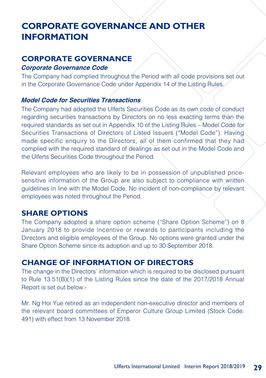# **CORPORATE GOVERNANCE AND OTHER INFORMATION**

### **CORPORATE GOVERNANCE**

#### **Corporate Governance Code**

The Company had complied throughout the Period with all code provisions set out in the Corporate Governance Code under Appendix 14 of the Listing Rules.

#### **Model Code for Securities Transactions**

The Company had adopted the Ulferts Securities Code as its own code of conduct regarding securities transactions by Directors on no less exacting terms than the required standards as set out in Appendix 10 of the Listing Rules – Model Code for Securities Transactions of Directors of Listed Issuers ("Model Code"). Having made specific enquiry to the Directors, all of them confirmed that they had complied with the required standard of dealings as set out in the Model Code and the Ulferts Securities Code throughout the Period.

Relevant employees who are likely to be in possession of unpublished pricesensitive information of the Group are also subject to compliance with written guidelines in line with the Model Code. No incident of non-compliance by relevant employees was noted throughout the Period.

### **SHARE OPTIONS**

The Company adopted a share option scheme ("Share Option Scheme") on 8 January 2018 to provide incentive or rewards to participants including the Directors and eligible employees of the Group. No options were granted under the Share Option Scheme since its adoption and up to 30 September 2018.

### **CHANGE OF INFORMATION OF DIRECTORS**

The change in the Directors' information which is required to be disclosed pursuant to Rule 13.51(B)(1) of the Listing Rules since the date of the 2017/2018 Annual Report is set out below:-

Mr. Ng Hoi Yue retired as an independent non-executive director and members of the relevant board committees of Emperor Culture Group Limited (Stock Code: 491) with effect from 13 November 2018.